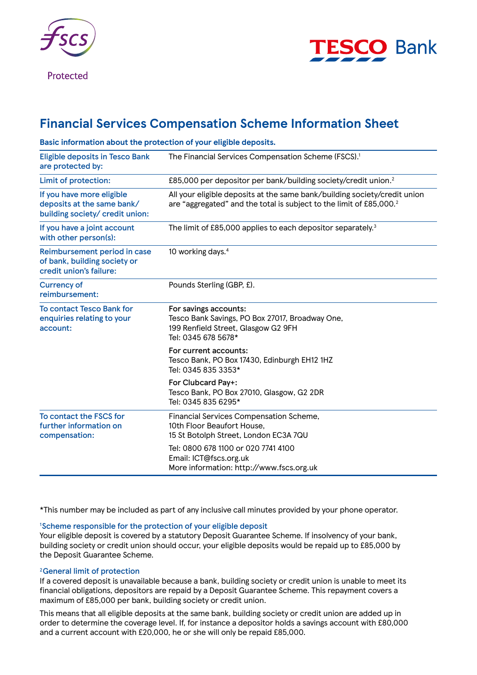

Protected



# **Financial Services Compensation Scheme Information Sheet**

| Basic information about the protection of your eligible deposits.                          |                                                                                                                                                              |
|--------------------------------------------------------------------------------------------|--------------------------------------------------------------------------------------------------------------------------------------------------------------|
| <b>Eligible deposits in Tesco Bank</b><br>are protected by:                                | The Financial Services Compensation Scheme (FSCS). <sup>1</sup>                                                                                              |
| Limit of protection:                                                                       | £85,000 per depositor per bank/building society/credit union. <sup>2</sup>                                                                                   |
| If you have more eligible<br>deposits at the same bank/<br>building society/ credit union: | All your eligible deposits at the same bank/building society/credit union<br>are "aggregated" and the total is subject to the limit of £85,000. <sup>2</sup> |
| If you have a joint account<br>with other person(s):                                       | The limit of £85,000 applies to each depositor separately. <sup>3</sup>                                                                                      |
| Reimbursement period in case<br>of bank, building society or<br>credit union's failure:    | 10 working days. <sup>4</sup>                                                                                                                                |
| <b>Currency of</b><br>reimbursement:                                                       | Pounds Sterling (GBP, £).                                                                                                                                    |
| <b>To contact Tesco Bank for</b><br>enquiries relating to your<br>account:                 | For savings accounts:<br>Tesco Bank Savings, PO Box 27017, Broadway One,<br>199 Renfield Street, Glasgow G2 9FH<br>Tel: 0345 678 5678*                       |
|                                                                                            | For current accounts:<br>Tesco Bank, PO Box 17430, Edinburgh EH12 1HZ<br>Tel: 0345 835 3353*                                                                 |
|                                                                                            | For Clubcard Pay+:<br>Tesco Bank, PO Box 27010, Glasgow, G2 2DR<br>Tel: 0345 835 6295*                                                                       |
| To contact the FSCS for<br>further information on<br>compensation:                         | Financial Services Compensation Scheme,<br>10th Floor Beaufort House,<br>15 St Botolph Street, London EC3A 7QU                                               |
|                                                                                            | Tel: 0800 678 1100 or 020 7741 4100<br>Email: ICT@fscs.org.uk<br>More information: http://www.fscs.org.uk                                                    |

\*This number may be included as part of any inclusive call minutes provided by your phone operator.

## 1 Scheme responsible for the protection of your eligible deposit

Your eligible deposit is covered by a statutory Deposit Guarantee Scheme. If insolvency of your bank, building society or credit union should occur, your eligible deposits would be repaid up to £85,000 by the Deposit Guarantee Scheme.

## 2General limit of protection

If a covered deposit is unavailable because a bank, building society or credit union is unable to meet its financial obligations, depositors are repaid by a Deposit Guarantee Scheme. This repayment covers a maximum of £85,000 per bank, building society or credit union.

This means that all eligible deposits at the same bank, building society or credit union are added up in order to determine the coverage level. If, for instance a depositor holds a savings account with £80,000 and a current account with £20,000, he or she will only be repaid £85,000.